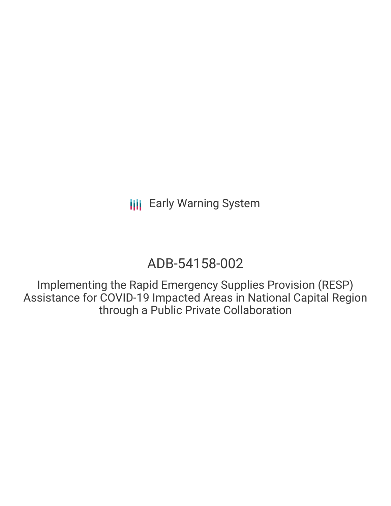# ADB-54158-002

Implementing the Rapid Emergency Supplies Provision (RESP) Assistance for COVID-19 Impacted Areas in National Capital Region through a Public Private Collaboration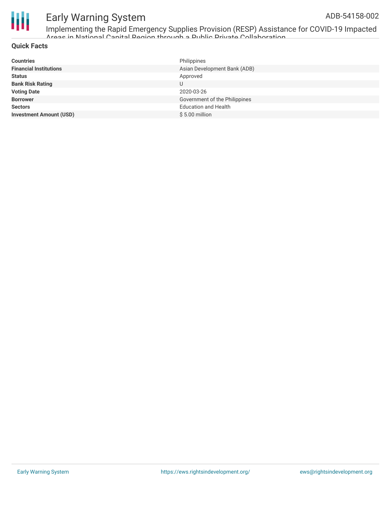

Implementing the Rapid Emergency Supplies Provision (RESP) Assistance for COVID-19 Impacted Areas in National Capital Region through a Public Private Collaboration

#### **Quick Facts**

| <b>Countries</b>               | Philippines                   |
|--------------------------------|-------------------------------|
| <b>Financial Institutions</b>  | Asian Development Bank (ADB)  |
| <b>Status</b>                  | Approved                      |
| <b>Bank Risk Rating</b>        | U                             |
| <b>Voting Date</b>             | 2020-03-26                    |
| <b>Borrower</b>                | Government of the Philippines |
| <b>Sectors</b>                 | <b>Education and Health</b>   |
| <b>Investment Amount (USD)</b> | $$5.00$ million               |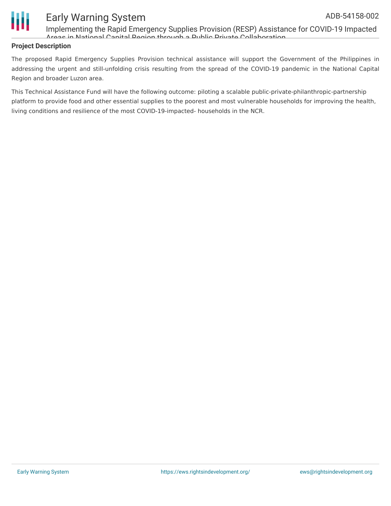

Implementing the Rapid Emergency Supplies Provision (RESP) Assistance for COVID-19 Impacted Areas in National Capital Region through a Public Private Collaboration

#### **Project Description**

The proposed Rapid Emergency Supplies Provision technical assistance will support the Government of the Philippines in addressing the urgent and still-unfolding crisis resulting from the spread of the COVID-19 pandemic in the National Capital Region and broader Luzon area.

This Technical Assistance Fund will have the following outcome: piloting a scalable public-private-philanthropic-partnership platform to provide food and other essential supplies to the poorest and most vulnerable households for improving the health, living conditions and resilience of the most COVID-19-impacted- households in the NCR.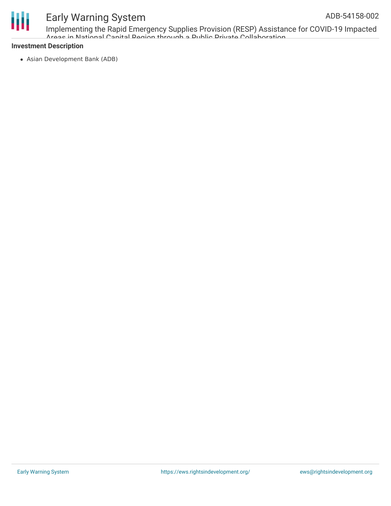

# Ш

## Early Warning System

Implementing the Rapid Emergency Supplies Provision (RESP) Assistance for COVID-19 Impacted Areas in National Capital Pegion through a Public Private Collaboration

#### **Investment Description**

Asian Development Bank (ADB)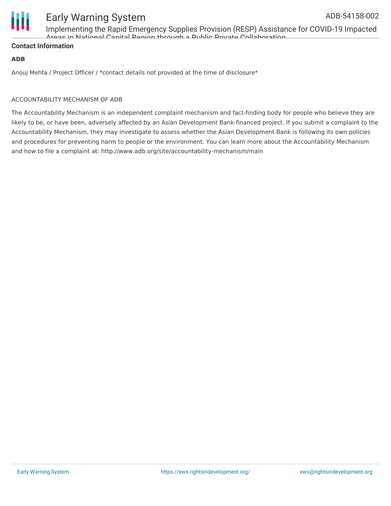

Implementing the Rapid Emergency Supplies Provision (RESP) Assistance for COVID-19 Impacted Areas in National Capital Region through a Public Private Collaboration

#### **Contact Information**

#### **ADB**

Anouj Mehta / Project Officer / \*contact details not provided at the time of disclosure\*

#### ACCOUNTABILITY MECHANISM OF ADB

The Accountability Mechanism is an independent complaint mechanism and fact-finding body for people who believe they are likely to be, or have been, adversely affected by an Asian Development Bank-financed project. If you submit a complaint to the Accountability Mechanism, they may investigate to assess whether the Asian Development Bank is following its own policies and procedures for preventing harm to people or the environment. You can learn more about the Accountability Mechanism and how to file a complaint at: http://www.adb.org/site/accountability-mechanism/main